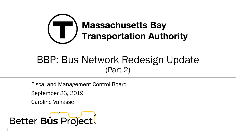

# BBP: Bus Network Redesign Update (Part 2)

Fiscal and Management Control Board

September 23, 2019

Caroline Vanasse



1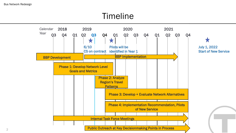## Timeline

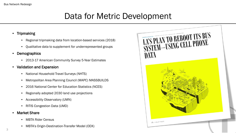## Data for Metric Development

#### • Tripmaking

- Regional tripmaking data from location-based services (2018)
- Qualitative data to supplement for underrepresented groups

### **Demographics**

• 2013-17 American Community Survey 5-Year Estimates

#### • Validation and Expansion

- National Household Travel Surveys (NHTS)
- Metropolitan Area Planning Council (MAPC) MASSBUILDS
- 2016 National Center for Education Statistics (NCES)
- Regionally adopted 2030 land use projections
- Accessibility Observatory (UMN)
- RITIS Congestion Data (UMD)
- **Market Share** 
	- MBTA Rider Census
	- MBTA's Origin-Destination-Transfer Model (ODX)

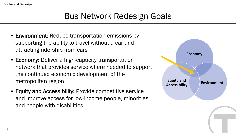## Bus Network Redesign Goals

- Environment: Reduce transportation emissions by supporting the ability to travel without a car and attracting ridership from cars
- Economy: Deliver a high-capacity transportation network that provides service where needed to support the continued economic development of the metropolitan region
- Equity and Accessibility: Provide competitive service and improve access for low-income people, minorities, and people with disabilities

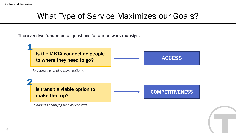## What Type of Service Maximizes our Goals?

There are two fundamental questions for our network redesign:

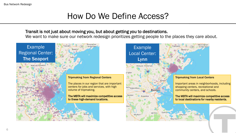## How Do We Define Access?

Transit is not just about moving you, but about getting you to destinations.

We want to make sure our network redesign prioritizes getting people to the places they care about.

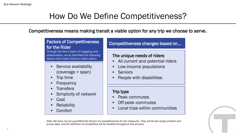## How Do We Define Competitiveness?

Competitiveness means making transit a viable option for any trip we choose to serve.

## Factors of Competitiveness for the Rider

*Through the last 3 years of engaging with stakeholders, we've identified the following factors that make transit a viable option:*

- Service availability (coverage + span)
- Trip time
- **Frequency**
- **Transfers**
- Simplicity of network
- Cost
- **Reliability**
- **Comfort**

Competitiveness changes based on…

## The unique needs of riders

- All current and potential riders
- Low-income populations
- **Seniors**
- People with disabilities

## Trip type

- Peak commutes
- Off-peak commutes
- Local trips within communities

*Note: We have not yet quantified the factors of competitiveness for the measures. They will be set using outreach and survey data, and the definition of competitive will be iterative throughout this process.*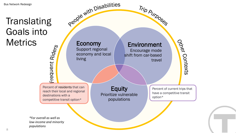# **Translating** Goals into **Metrics**



8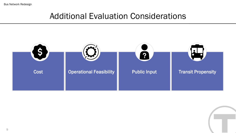Bus Network Redesign

## Additional Evaluation Considerations

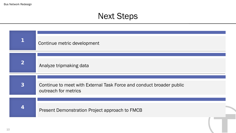## Next Steps

| 1              | Continue metric development                                                                  |
|----------------|----------------------------------------------------------------------------------------------|
| $\overline{2}$ | Analyze tripmaking data                                                                      |
| $\overline{3}$ | Continue to meet with External Task Force and conduct broader public<br>outreach for metrics |
| 4              | Present Demonstration Project approach to FMCB                                               |
|                |                                                                                              |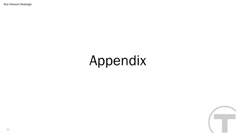Bus Network Redesign

# Appendix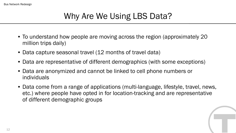## Why Are We Using LBS Data?

- To understand how people are moving across the region (approximately 20 million trips daily)
- Data capture seasonal travel (12 months of travel data)
- Data are representative of different demographics (with some exceptions)
- Data are anonymized and cannot be linked to cell phone numbers or individuals
- Data come from a range of applications (multi-language, lifestyle, travel, news, etc.) where people have opted in for location-tracking and are representative of different demographic groups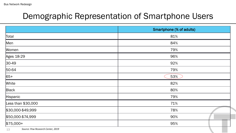## Demographic Representation of Smartphone Users

|                          | <b>Smartphone (% of adults)</b> |  |
|--------------------------|---------------------------------|--|
| Total                    | 81%                             |  |
| Men                      | 84%                             |  |
| Women                    | 79%                             |  |
| Ages 18-29               | 96%                             |  |
| $ 30-49 $                | 92%                             |  |
| $ 50-64 $                | 79%                             |  |
| $ 65+$<br>53%            |                                 |  |
| White                    | 82%                             |  |
| Black                    | 80%                             |  |
| Hispanic                 | 79%                             |  |
| Less than \$30,000       | 71%                             |  |
| \$30,000-\$49,999<br>78% |                                 |  |
| \$50,000-\$74,999        | 90%                             |  |
| $$75,000+$               | 95%                             |  |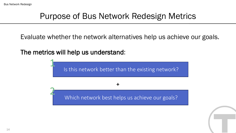## Purpose of Bus Network Redesign Metrics

Evaluate whether the network alternatives help us achieve our goals.

The metrics will help us understand:

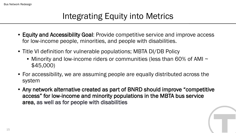# Integrating Equity into Metrics

- Equity and Accessibility Goal: Provide competitive service and improve access for low-income people, minorities, and people with disabilities.
- Title VI definition for vulnerable populations; MBTA DI/DB Policy
	- Minority and low-income riders or communities (less than 60% of AMI  $\sim$ \$45,000)
- For accessibility, we are assuming people are equally distributed across the system
- Any network alternative created as part of BNRD should improve "competitive access" for low-income and minority populations in the MBTA bus service area, as well as for people with disabilities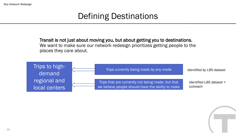## Defining Destinations

Transit is not just about moving you, but about getting you to destinations. We want to make sure our network redesign prioritizes getting people to the places they care about.